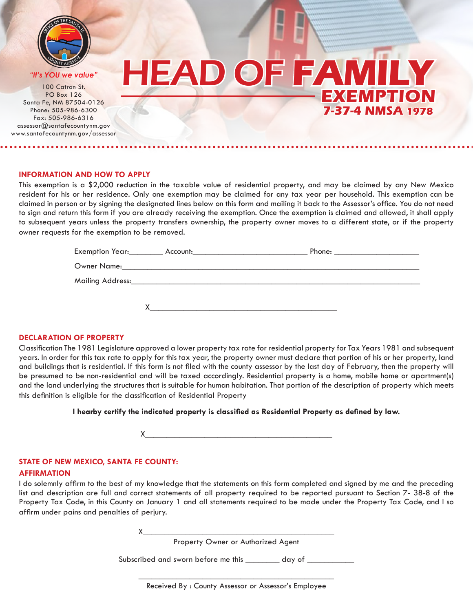

<sup>O</sup>FF<sup>I</sup>C<sup>E</sup> <sup>O</sup><sup>F</sup> <sup>T</sup>H<sup>E</sup> <sup>S</sup>ANT<sup>A</sup> <sup>F</sup><sup>E</sup>

**O** PO Box 126 **OSFCA OSFCA <sup>F</sup>FIC<sup>E</sup> <sup>O</sup><sup>F</sup> <sup>T</sup>H<sup>E</sup> <sup>S</sup>ANT<sup>A</sup> <sup>F</sup><sup>E</sup> <sup>C</sup>OUNT<sup>Y</sup> <sup>A</sup>SSESSO<sup>R</sup>** <sup>C</sup>OUNT<sup>Y</sup> <sup>A</sup>SSESSO<sup>R</sup> assessor@santafecountynm.gov 100 Catron St. Santa Fe, NM 87504-0126 Phone: 505-986-6300 Fax: 505-986-6316 www.santafecountynm.gov/assessor

# **<sup>C</sup>OUNT<sup>Y</sup> <sup>A</sup>SSESSOR<sup>S</sup>** *"It's YOU we value"* HEAD OF **FAMILY EXEMPTIO 7-37-4 NMSA 1978**

### **INFORMATION AND HOW TO APPLY**

This exemption is a \$2,000 reduction in the taxable value of residential property, and may be claimed by any New Mexico resident for his or her residence. Only one exemption may be claimed for any tax year per household. This exemption can be claimed in person or by signing the designated lines below on this form and mailing it back to the Assessor's office. You do not need to sign and return this form if you are already receiving the exemption. Once the exemption is claimed and allowed, it shall apply to subsequent years unless the property transfers ownership, the property owner moves to a different state, or if the property owner requests for the exemption to be removed.

| Exemption Year:__________ Account:___________________________ |  |
|---------------------------------------------------------------|--|
|                                                               |  |
|                                                               |  |
|                                                               |  |

### **DECLARATION OF PROPERTY**

Classification The 1981 Legislature approved a lower property tax rate for residential property for Tax Years 1981 and subsequent years. In order for this tax rate to apply for this tax year, the property owner must declare that portion of his or her property, land and buildings that is residential. If this form is not filed with the county assessor by the last day of February, then the property will be presumed to be non-residential and will be taxed accordingly. Residential property is a home, mobile home or apartment(s) and the land underlying the structures that is suitable for human habitation. That portion of the description of property which meets this definition is eligible for the classification of Residential Property

**I hearby certify the indicated property is classified as Residential Property as defined by law.**

X\_\_\_\_\_\_\_\_\_\_\_\_\_\_\_\_\_\_\_\_\_\_\_\_\_\_\_\_\_\_\_\_\_\_\_\_\_\_\_\_\_\_\_\_

### **STATE OF NEW MEXICO, SANTA FE COUNTY:**

### **AFFIRMATION**

I do solemnly affirm to the best of my knowledge that the statements on this form completed and signed by me and the preceding list and description are full and correct statements of all property required to be reported pursuant to Section 7- 38-8 of the Property Tax Code, in this County on January 1 and all statements required to be made under the Property Tax Code, and I so affirm under pains and penalties of perjury.

 $X_\_$ 

Property Owner or Authorized Agent

Subscribed and sworn before me this \_\_\_\_\_\_\_ day of \_\_\_\_\_\_\_

\_\_\_\_\_\_\_\_\_\_\_\_\_\_\_\_\_\_\_\_\_\_\_\_\_\_\_\_\_\_\_\_\_\_\_\_\_\_\_\_\_\_\_\_\_\_ Received By : County Assessor or Assessor's Employee